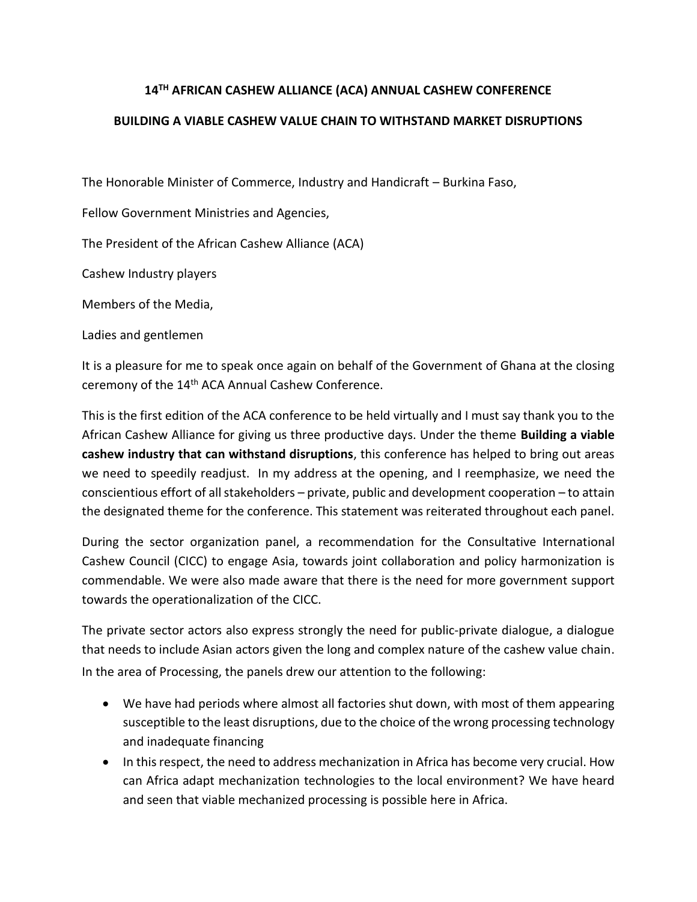## **14TH AFRICAN CASHEW ALLIANCE (ACA) ANNUAL CASHEW CONFERENCE**

## **BUILDING A VIABLE CASHEW VALUE CHAIN TO WITHSTAND MARKET DISRUPTIONS**

The Honorable Minister of Commerce, Industry and Handicraft – Burkina Faso,

Fellow Government Ministries and Agencies,

The President of the African Cashew Alliance (ACA)

Cashew Industry players

Members of the Media,

Ladies and gentlemen

It is a pleasure for me to speak once again on behalf of the Government of Ghana at the closing ceremony of the 14<sup>th</sup> ACA Annual Cashew Conference.

This is the first edition of the ACA conference to be held virtually and I must say thank you to the African Cashew Alliance for giving us three productive days. Under the theme **Building a viable cashew industry that can withstand disruptions**, this conference has helped to bring out areas we need to speedily readjust. In my address at the opening, and I reemphasize, we need the conscientious effort of all stakeholders – private, public and development cooperation – to attain the designated theme for the conference. This statement was reiterated throughout each panel.

During the sector organization panel, a recommendation for the Consultative International Cashew Council (CICC) to engage Asia, towards joint collaboration and policy harmonization is commendable. We were also made aware that there is the need for more government support towards the operationalization of the CICC.

The private sector actors also express strongly the need for public-private dialogue, a dialogue that needs to include Asian actors given the long and complex nature of the cashew value chain. In the area of Processing, the panels drew our attention to the following:

- We have had periods where almost all factories shut down, with most of them appearing susceptible to the least disruptions, due to the choice of the wrong processing technology and inadequate financing
- In this respect, the need to address mechanization in Africa has become very crucial. How can Africa adapt mechanization technologies to the local environment? We have heard and seen that viable mechanized processing is possible here in Africa.